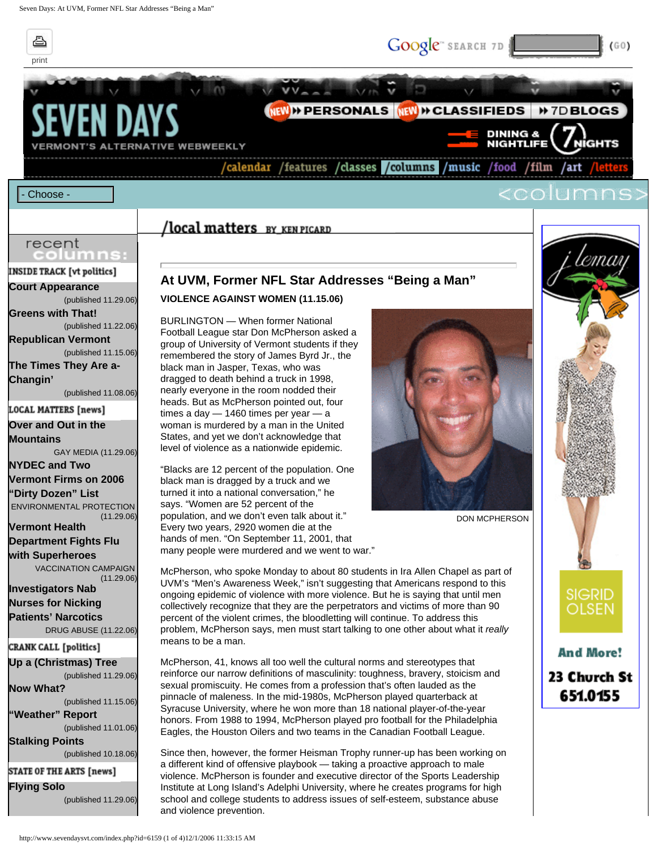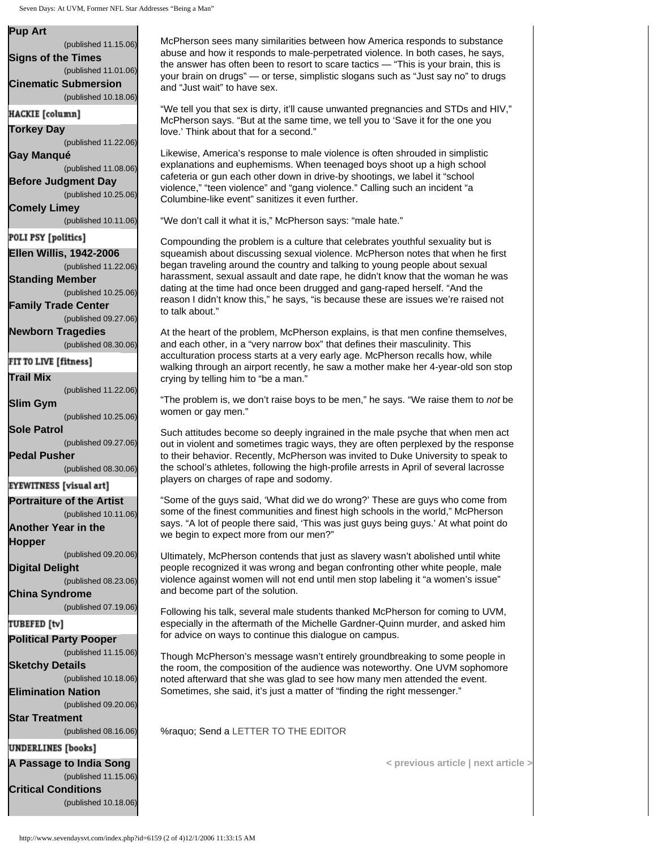## Seven Days: At UVM, Former NFL Star Addresses "Being a Man"

| (published 11.15.06)                                |
|-----------------------------------------------------|
| <b>Signs of the Times</b>                           |
| (published 11.01.06)<br><b>Cinematic Submersion</b> |
| (published 10.18.06)                                |
| <b>HACKIE</b> [column]                              |
|                                                     |
| <b>Torkey Day</b><br>(published 11.22.06)           |
| Gay Manqué                                          |
| (published 11.08.06)                                |
| <b>Before Judgment Day</b>                          |
| (published 10.25.06)                                |
| <b>Comely Limey</b>                                 |
| (published 10.11.06)                                |
| POLI PSY [politics]                                 |
| <b>Ellen Willis, 1942-2006</b>                      |
| (published 11.22.06)                                |
| <b>Standing Member</b>                              |
| (published 10.25.06)                                |
| <b>Family Trade Center</b><br>(published 09.27.06)  |
| <b>Newborn Tragedies</b>                            |
| (published 08.30.06)                                |
| FIT TO LIVE [fitness]                               |
|                                                     |
| (published 11.22.06)                                |
|                                                     |
| (published 10.25.06)                                |
| <b>Sole Patrol</b>                                  |
| (published 09.27.06)                                |
| <b>Pedal Pusher</b>                                 |
| (published 08.30.06)                                |
| <b>EYEWITNESS</b> [visual art]                      |
| <b>Portraiture of the Artist</b>                    |
| (published 10.11.06)<br><b>Another Year in the</b>  |
|                                                     |
| (published 09.20.06)                                |
| <b>Digital Delight</b>                              |
| (published 08.23.06)                                |
| <b>China Syndrome</b>                               |
| (published 07.19.06)                                |
| TUBEFED [tv]                                        |
| <b>Political Party Pooper</b>                       |
| (published 11.15.06)                                |
| <b>Sketchy Details</b>                              |
| (published 10.18.06)                                |
| <b>Elimination Nation</b><br>(published 09.20.06)   |
| <b>Star Treatment</b>                               |
| (published 08.16.06)                                |
| <b>UNDERLINES</b> [books]                           |
| A Passage to India Song                             |
| (published 11.15.06)                                |
| <b>Critical Conditions</b>                          |
|                                                     |

(published 10.18.06)

McPherson sees many similarities between how America responds to substance abuse and how it responds to male-perpetrated violence. In both cases, he says, the answer has often been to resort to scare tactics — "This is your brain, this is your brain on drugs" — or terse, simplistic slogans such as "Just say no" to drugs and "Just wait" to have sex.

"We tell you that sex is dirty, it'll cause unwanted pregnancies and STDs and HIV," McPherson says. "But at the same time, we tell you to 'Save it for the one you love.' Think about that for a second."

Likewise, America's response to male violence is often shrouded in simplistic explanations and euphemisms. When teenaged boys shoot up a high school cafeteria or gun each other down in drive-by shootings, we label it "school violence," "teen violence" and "gang violence." Calling such an incident "a Columbine-like event" sanitizes it even further.

"We don't call it what it is," McPherson says: "male hate."

Compounding the problem is a culture that celebrates youthful sexuality but is squeamish about discussing sexual violence. McPherson notes that when he first began traveling around the country and talking to young people about sexual harassment, sexual assault and date rape, he didn't know that the woman he was dating at the time had once been drugged and gang-raped herself. "And the reason I didn't know this," he says, "is because these are issues we're raised not to talk about."

At the heart of the problem, McPherson explains, is that men confine themselves, and each other, in a "very narrow box" that defines their masculinity. This acculturation process starts at a very early age. McPherson recalls how, while walking through an airport recently, he saw a mother make her 4-year-old son stop crying by telling him to "be a man."

"The problem is, we don't raise boys to be men," he says. "We raise them to *not* be women or gay men."

Such attitudes become so deeply ingrained in the male psyche that when men act out in violent and sometimes tragic ways, they are often perplexed by the response to their behavior. Recently, McPherson was invited to Duke University to speak to the school's athletes, following the high-profile arrests in April of several lacrosse players on charges of rape and sodomy.

"Some of the guys said, 'What did we do wrong?' These are guys who come from some of the finest communities and finest high schools in the world," McPherson says. "A lot of people there said, 'This was just guys being guys.' At what point do we begin to expect more from our men?"

Ultimately, McPherson contends that just as slavery wasn't abolished until white people recognized it was wrong and began confronting other white people, male violence against women will not end until men stop labeling it "a women's issue" and become part of the solution.

Following his talk, several male students thanked McPherson for coming to UVM, especially in the aftermath of the Michelle Gardner-Quinn murder, and asked him for advice on ways to continue this dialogue on campus.

Though McPherson's message wasn't entirely groundbreaking to some people in the room, the composition of the audience was noteworthy. One UVM sophomore noted afterward that she was glad to see how many men attended the event. Sometimes, she said, it's just a matter of "finding the right messenger."

%raquo; Send a [LETTER TO THE EDITOR](http://www.sevendaysvt.com/letters/letter-to-editor.html)

**[< previous article](http://www.sevendaysvt.com/nc/columns/local-matters-news/2006/protestors-denounce-professorship-honoring-former-chief-justice.html) | [next article >](http://www.sevendaysvt.com/nc/columns/local-matters-news/2006/shelter-workers-seek-union.html)**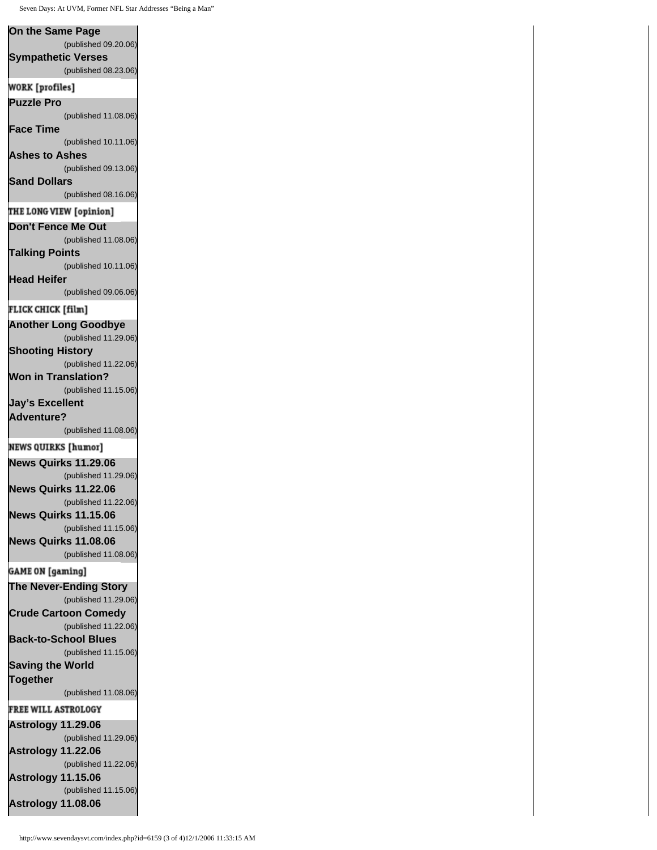Seven Days: At UVM, Former NFL Star Addresses "Being a Man"

**[On the Same Page](http://www.sevendaysvt.com/nc/columns/underlines-book/2006/on-the-same-page.html)** (published 09.20.06) **[Sympathetic Verses](http://www.sevendaysvt.com/columns/underlines-book/2006/sympathetic-verses.html)** (published 08.23.06) **WORK** [profiles] **[Puzzle Pro](http://www.sevendaysvt.com/columns/work-local/2006/work-copy-1.html)** (published 11.08.06) **[Face Time](http://www.sevendaysvt.com/columns/work-local/2006/face-time.html)** (published 10.11.06) **[Ashes to Ashes](http://www.sevendaysvt.com/columns/work-local/2006/ashes-to-ashes.html)** (published 09.13.06) **[Sand Dollars](http://www.sevendaysvt.com/columns/work-local/2006/block-party-copy-1.html)** (published 08.16.06) THE LONG VIEW [opinion] **[Don't Fence Me Out](http://www.sevendaysvt.com/nc/columns/the-long-view/2006/dont-fence-me-out.html)** (published 11.08.06) **[Talking Points](http://www.sevendaysvt.com/nc/columns/the-long-view/2006/talking-points.html)** (published 10.11.06) **[Head Heifer](http://www.sevendaysvt.com/nc/columns/the-long-view/2006/head-heifer.html)** (published 09.06.06) **FLICK CHICK [film] [Another Long Goodbye](http://www.sevendaysvt.com/nc/columns/flick-chick-film/2006/another-long-goodbye.html)** (published 11.29.06) **[Shooting History](http://www.sevendaysvt.com/nc/columns/flick-chick-film/2006/shooting-history.html)**  (published 11.22.06) **[Won in Translation?](http://www.sevendaysvt.com/nc/columns/flick-chick-film/2006/won-in-translation.html)** (published 11.15.06) **[Jay's Excellent](http://www.sevendaysvt.com/nc/columns/flick-chick-film/2006/jays-excellent-adventure.html)  [Adventure?](http://www.sevendaysvt.com/nc/columns/flick-chick-film/2006/jays-excellent-adventure.html)** (published 11.08.06) **NEWS QUIRKS [humor] [News Quirks 11.29.06](http://www.sevendaysvt.com/columns/news-quirks-news/2006/news-quirks-112906.html)** (published 11.29.06) **[News Quirks 11.22.06](http://www.sevendaysvt.com/columns/news-quirks-news/2006/news-quirks-112206.html)** (published 11.22.06) **[News Quirks 11.15.06](http://www.sevendaysvt.com/columns/news-quirks-news/2006/news-quirks-111506.html)** (published 11.15.06) **[News Quirks 11.08.06](http://www.sevendaysvt.com/columns/news-quirks-news/2006/news-quirks-110806.html)** (published 11.08.06) **GAME ON [gaming] [The Never-Ending Story](http://www.sevendaysvt.com/nc/columns/game-on-gaming/2006/the-never-ending-story.html)** (published 11.29.06) **[Crude Cartoon Comedy](http://www.sevendaysvt.com/nc/columns/game-on-gaming/2006/crude-caratoon-comedy.html)** (published 11.22.06) **[Back-to-School Blues](http://www.sevendaysvt.com/nc/columns/game-on-gaming/2006/back-to-school-blues.html)** (published 11.15.06) **[Saving the World](http://www.sevendaysvt.com/nc/columns/game-on-gaming/2006/saving-the-world-together.html)  [Together](http://www.sevendaysvt.com/nc/columns/game-on-gaming/2006/saving-the-world-together.html)** (published 11.08.06) FREE WILL ASTROLOGY **[Astrology 11.29.06](http://www.sevendaysvt.com/nc/columns/free-will-astrology/2006/astrology-112906.html)** (published 11.29.06) **[Astrology 11.22.06](http://www.sevendaysvt.com/nc/columns/free-will-astrology/2006/astrology-112206.html)** (published 11.22.06) **[Astrology 11.15.06](http://www.sevendaysvt.com/nc/columns/free-will-astrology/2006/astrology-111506.html)** (published 11.15.06)

**[Astrology 11.08.06](http://www.sevendaysvt.com/nc/columns/free-will-astrology/2006/astrology-110806.html)**